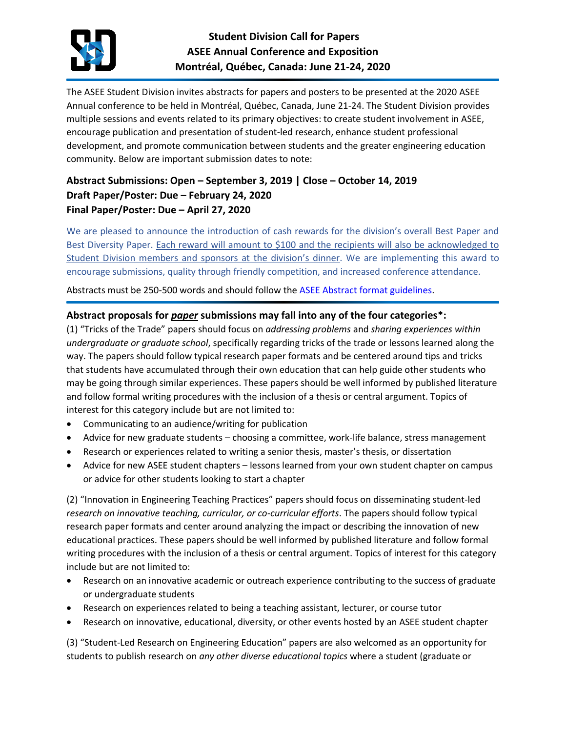

The ASEE Student Division invites abstracts for papers and posters to be presented at the 2020 ASEE Annual conference to be held in Montréal, Québec, Canada, June 21-24. The Student Division provides multiple sessions and events related to its primary objectives: to create student involvement in ASEE, encourage publication and presentation of student-led research, enhance student professional development, and promote communication between students and the greater engineering education community. Below are important submission dates to note:

# **Abstract Submissions: Open – September 3, 2019 | Close – October 14, 2019 Draft Paper/Poster: Due – February 24, 2020 Final Paper/Poster: Due – April 27, 2020**

We are pleased to announce the introduction of cash rewards for the division's overall Best Paper and Best Diversity Paper. Each reward will amount to \$100 and the recipients will also be acknowledged to Student Division members and sponsors at the division's dinner. We are implementing this award to encourage submissions, quality through friendly competition, and increased conference attendance.

Abstracts must be 250-500 words and should follow the [ASEE Abstract format guidelines.](https://www.asee.org/documents/conferences/annual/2020/2020-Authors-Kit.pdf)

### **Abstract proposals for** *paper* **submissions may fall into any of the four categories\*:**

(1) "Tricks of the Trade" papers should focus on *addressing problems* and *sharing experiences within undergraduate or graduate school*, specifically regarding tricks of the trade or lessons learned along the way. The papers should follow typical research paper formats and be centered around tips and tricks that students have accumulated through their own education that can help guide other students who may be going through similar experiences. These papers should be well informed by published literature and follow formal writing procedures with the inclusion of a thesis or central argument. Topics of interest for this category include but are not limited to:

- Communicating to an audience/writing for publication
- Advice for new graduate students choosing a committee, work-life balance, stress management
- Research or experiences related to writing a senior thesis, master's thesis, or dissertation
- Advice for new ASEE student chapters lessons learned from your own student chapter on campus or advice for other students looking to start a chapter

(2) "Innovation in Engineering Teaching Practices" papers should focus on disseminating student-led *research on innovative teaching, curricular, or co-curricular efforts*. The papers should follow typical research paper formats and center around analyzing the impact or describing the innovation of new educational practices. These papers should be well informed by published literature and follow formal writing procedures with the inclusion of a thesis or central argument. Topics of interest for this category include but are not limited to:

- Research on an innovative academic or outreach experience contributing to the success of graduate or undergraduate students
- Research on experiences related to being a teaching assistant, lecturer, or course tutor
- Research on innovative, educational, diversity, or other events hosted by an ASEE student chapter

(3) "Student-Led Research on Engineering Education" papers are also welcomed as an opportunity for students to publish research on *any other diverse educational topics* where a student (graduate or